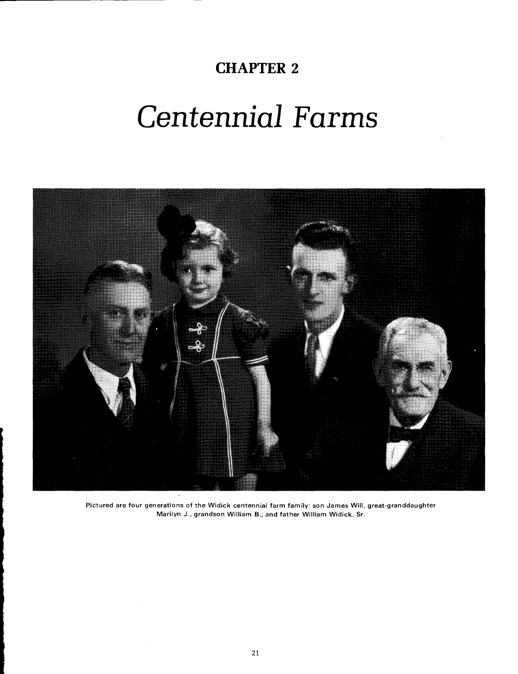# Centennial Farms

**CHAPTER 2** 



**Pictured are four generations of the Widick centennial farm family: son James Will, great-granddaughter Marilyn J.. grandson William B., and father William Widick, Sr.**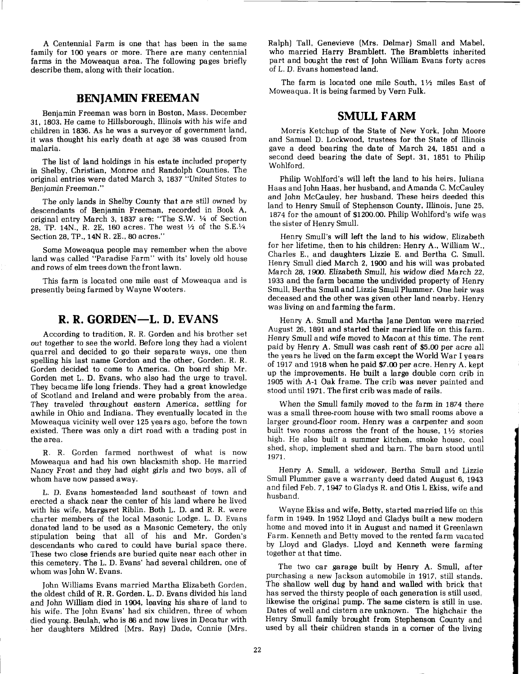A Centennial Farm is one that has been in the same family for 100 years or more. There are many centennial farms in the Moweaqua area. The following pages briefly describe them, along with their location.

# **BEN JAMIN FREEMAN**

Benjamin Freeman was born in Boston, Mass. December 31, 1803. He came to Hillsborough, Illinois with his wife and children in 1836. As he was a survey or of government land, it was thought his early death at age 38 was caused from malaria.

The list of land holdings in his estate included property in Shelby, Christian, Monroe and Randolph Counties. The original entries were dated March 3, 1837 "United States to Benjamin Freeman ."

The only lands in Shelby County that are still owned by descendants of Benjamin Freeman, recorded in Book A, original entry March 3, 1837 are: "The S.W. 1/4 of Section 28, TP. 14N., R. 2E, 160 acres. The west  $\frac{1}{2}$  of the S.E. $\frac{1}{4}$ Section 28, TP., 14N R. 2E., 80 acres."

Some Moweaqua people may remember when the above land was called "Paradise Farm" with its' lovely old house and rows of elm trees down the front lawn.

This farm is located one mile east of Moweaqua and is presently being farmed by Wayne Wooters.

# **R. R. GORDEN-L. D. EVANS**

According to tradition, R. R. Gorden and his brother set out together to see the world. Before long they had a violent quarrel and decided to go their separate ways, one then spelling his last name Gordon and the other, Gorden. R. R. Gorden decided to come to America. On board ship Mr. Gorden met L. D. Evans, who also had the urge to travel. They became life long friends. They had a great knowledge of Scotland and Ireland and were probably from the area. They traveled throughout eastern America, settling for awhile in Ohio and Indiana. They eventually located in the Moweaqua vicinity well over 125 years ago, before the town existed. There was only a dirt road with a trading post in the area.

R. R. Gorden farmed northwest of what is now Moweaqua and had his own blacksmith shop. He married Nancy Frost and they had eight girls and two boys, all of whom have now passed away.

L. D. Evans homesteaded land southeast of town and erected a shack near the center of his land where he lived with his wife, Margaret Riblin. Both L. D. and R. R. were charter members of the local Masonic Lodge. L. D. Evans donated land to be used as a Masonic Cemetery, the only stipulation being that all of his and Mr. Gorden's descendants who cared to could have burial space there. These two close friends are buried quite near each other in this cemetery. The L. D. Evans' had several children, one of whom was John W. Evans.

John Williams Evans married Martha Elizabeth Gorden, the oldest child of R. R. Gorden. L. D. Evans divided his land and John William died in 1904, leaving his share of land to his wife. The John Evans' had six children, three of whom died young. Beulah, who is 86 and now lives in Decatur with her daughters Mildred (Mrs. Ray) Dade, Connie (Mrs.

Ralph) Tall, Genevieve (Mrs. Delmar) Small and Mabel, who married Harry Bramblett. The Brambletts inherited part and bought the rest of John William Evans forty acres of L. D. Evans homestead land.

The farm is located one mile South, 1% miles East of Moweaqua. It is being farmed by Vern Fulk.

#### **SMULL FARM**

Morris Ketchup of the State of New York, John Moore and Samuel D. Lockwood, trustees for the State of Illinois gave a deed bearing the date of March 24, 1851 and a second deed bearing the date of Sept. 31, 1851 to Philip Wohlford.

Philip Wohlford's will left the land to his heirs, Juliana Haas and John Haas, her husband, and Amanda C. McCauley and John McCauley, her husband. These heirs deeded this land to Henry Smull of Stephenson County, Illinois, June 25, 1874 for the amount of \$1200.00. Philip Wohlford's wife was the sister of Henry Smull.

Henry Smull's will left the land to his widow, Elizabeth for her lifetime, then to his children: Henry A., William W., Charles E., and daughters Lizzie E, and Bertha C. Smull. Henry Smull died March 2, 1900 and his will was probated March 28, 1900. Elizabeth Smull, his widow died March 22, 1933 and the farm became the undivided property of Henry Smull, Bertha Smull and Lizzie Smull Plummer. One heir was deceased and the other was given other land nearby. Henry was living on and farming the farm.

Henry A. Smull and Martha Jane Denton were married August 26. 1891 and started their married life on this farm. Henry Smull and wife moved to Macon at this time. The rent paid by Henry A. Smull was cash rent of \$5.00 per acre all the years he lived on the farm except the World War I years of 1917 and 1918 when he paid \$7.00 per acre. Henry A. kept up the improvements. He built a large double corn crib in 1905 with A-1 Oak frame. The crib was never painted and stood until 1971. The first crib was made of rails.

When the Smull family moved to the farm in 1874 there was a small three-room house with two small rooms above a larger ground-floor room. Henry was a carpenter and soon built two rooms across the front of the house,  $1\frac{1}{2}$  stories high. He also built a summer kitchen, smoke house, coal shed, shop, implement shed and barn. The barn stood until 1971.

Henry A. Smull, a widower, Bertha Smull and Lizzie Smull Plummer gave a warranty deed dated August 6, 1943 and filed Feb. 7, 1947 to Gladys R. and Otis L Ekiss, wife and husband.

Wayne Ekiss and wife, Betty, started married life on this farm in 1949. In 1952 Lloyd and Gladys built a new modern home and moved into it in August and named it Greenlawn Farm. Kenneth and Betty moved to the rented farm vacated by Lloyd and Gladys. Lloyd and Kenneth were farming together at that time.

The two car garage built by Henry A. Smull, after purchasing a new Jackson automobile in 1917, still stands. The shallow well dug by hand and walled with brick that has served the thirsty people of each generation is still used, likewise the original pump. The same cistern is still in use. Dates of well and cistern are unknown. The highchair the Henry Smull family brought from Stephenson County and used by all their children stands in a corner of the living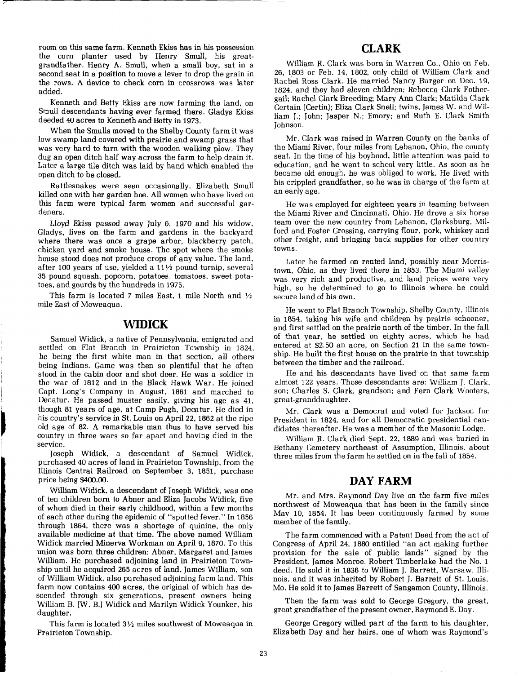room on this same farm. Kenneth Ekiss has in his possession the corn planter used by Henry Smull, his greatgrandfather. Henry **A.** Smull, when a small boy, sat in a second seat in a position to move a lever to drop the grain in the rows. A device to check corn in crossrows was later added.

Kenneth and Betty Ekiss are now farming the land, on Smull descendants having ever farmed there. Gladys Ekiss deeded 40 acres to Kenneth and Betty in 1973.

When the Smulls moved to the Shelby County farm it was low swamp land covered with prairie and swamp grass that was very hard to turn with the wooden walking plow. They dug an open ditch half way across the farm to help drain it. Later a large tile ditch was laid by hand which enabled the open ditch to be closed.

Rattlesnakes were seen occasionally. Elizabeth Smull killed one with her garden hoe. All women who have lived on this farm were typical farm women and successful gardeners.

Lloyd Ekiss passed away July 6, 1970 and his widow, Gladys, lives on the farm and gardens in the backyard where there was once a grape arbor, blackberry patch, chicken yard and smoke house. The spot where the smoke house stood does not produce crops of any value. The land, after 100 years of use, yielded a  $11\frac{1}{2}$  pound turnip, several 35 pound squash, popcorn, potatoes, tomatoes, sweet potatoes, and gourds by the hundreds in 1975.

This farm is located 7 miles East, 1 mile North and  $\frac{1}{2}$ mile East of Moweaqua.

#### **WIDICK**

Samuel Widick, a native of Pennsylvania, emigrated and settled on Flat Branch in Prairieton Township in 1824, he being the first white man in that section, all others being Indians. Game was then so plentiful that he often stood in the cabin door and shot deer. He was a soldier in the war of 1812 and in the Black Hawk War. He joined I Capt. Long's Company in August, 1861 and marched to Decatur. He passed muster easily, giving his age as 41, Decatur. He passed muster easily, giving his age as 41, though 81 years of age, at Camp Pugh, Decatur. He died in his country's service in St. Louis on April 22, 1862 at the ripe old age of 82. A remarkable man thus to hav his country's service in St. Loui3 on April 22, 1862 at the ripe old age of 82. A remarkable man thus to have served his country in three wars so far apart and having died in the service.

> Joseph Widick, a descendant of Samuel Widick, purchased 40 acres of land in Prairieton Township, from the Illinois Central Railroad on September 3, 1851, purchase price being \$400.00.

> William Widick, a descendant of Joseph Widick, was one of ten children born to Abner and Eliza Jacobs Widick, five of whom died in their early childhood, within a few months of each other during the epidemic of "spotted fever." In 1856 through 1864, there was a shortage of quinine, the only available medicine at that time. The above named William Widick married Minerva Workman on April 9, 1870. To this union was born three children: Abner, Margaret and James William. He purchased adjoining land in Prairieton Township until he acquired 265 acres of land. James William, son of William Widick, also purchased adjoining farm land. This farm now contains 400 acres, the original of which has descended through six generations, present owners being William B. (W. B.) Widick and Marilyn Widick Younker, his daughter.

This farm is located  $3\frac{1}{2}$  miles southwest of Moweaqua in Prairieton Township.

-

## **CLARK**

William R. Clark was born in Warren Co., Ohio on Feb. 26, 1803 or Feb. 14, 1802, only child of William Clark and Rachel Ross Clark. He married Nancy Burger on Dec. 19, 1824, and they had eleven children: Rebecca Clark Fothergail; Rachel Clark Breeding; Mary Ann Clark; Matilda Clark Certain (Certin); Eliza Clark Snell; twins, James W. and William L. John; Jasper N.; Emory; and Ruth E. Clark Smith Johnson.

Mr. Clark was raised in Warren County on the banks of the Miami River, four miles from Lebanon, Ohio, the county seat. In the time of his boyhood, little attention was paid to education, and he went to school very little. As soon as he became old enough, he was obliged to work. He lived with his crippled grandfather, so he was in charge of the farm at an early age.

He was employed for eighteen years in teaming between the Miami River and Cincinnati, Ohio. He drove a six horse team over the new country from Lebanon, Clarksburg, Milford and Foster Crossing, carrying flour, pork, whiskey and other freight, and bringing back supplies for other country towns.

Later he farmed on rented land, possibly near Morristown, Ohio, as they lived there in 1853. The Miami valley was very rich and productive, and land prices were very high, so he determined to go to Illinois where he could secure land of his own.

He went to Flat Branch Township, Shelby County, Illinois in 1854, taking his wife and children by prairie schooner, and first settled on the prairie north of the timber. In the fall of that year, he settled on eighty acres, which he had entered at \$2.50 an acre, on Section 21 in the same township. He built the first house on the prairie in that township between the timber and the railroad.

He and his descendants have lived on that same farm almost 122 years. Those descendants are: William J. Clark, son; Charles S. Clark, grandson; and Fern Clark Wooters, great-granddaughter.

Mr. Clark was a Democrat and voted for Jackson for President in 1824, and for all Democratic presidential candidates thereafter. He was a member of the Masonic Lodge.

William R. Clark died Sept. 22, 1889 and was buried in Bethany Cemetery northeast of Assumption, Illinois, about three miles from the farm he settled on in the fall of 1854.

### **DAY FARM**

Mr. and Mrs. Raymond Day live on the farm five miles northwest of Moweaqua that has been in the family since May 10, 1854. It has been continuously farmed by some member of the family.

The farm commenced with a Patent Deed from the act of Congress of April 24, 1880 entitled "an act making further provision for the sale of public lands" signed by the President, James Monroe. Robert Timberlake had the No. 1 deed. He sold it in 1836 to William J. Barrett, Warsaw, Illinois, and it was inherited by Robert J. Barrett of St. Louis, Mo. He sold it to James Barrett of Sangamon County, Illinois.

Then the farm was sold to George Gregory, the great, great grandfather of the present owner, Raymond E. Day.

George Gregory willed part of the farm to his daughter, Elizabeth Day and her heirs, one of whom was Raymond's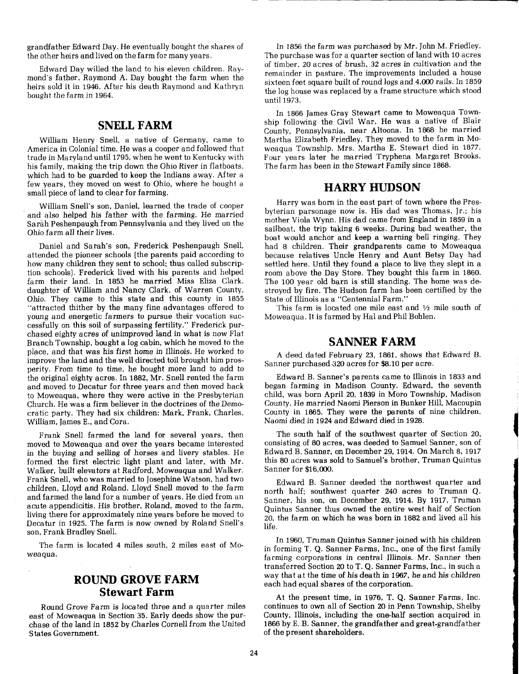<sup>I</sup>grandfather Edward Day. He eventually bought the shares of In 1856 the farm was purchased by Mr. John M. Friedley.

heirs sold it in 1946. After his death Raymond and Kathryn bought the farm in 1964.

## **SNELL FARM**

William Henry Snell, a native of Germany, came to America in Colonial time. He was a cooper and followed that trade in Maryland until 1795, when he went to Kentucky with his family, making the trip down the Ohio River in flatboats, which had to be guarded to keep the Indians away. After a few years, they moved on west to Ohio, where he bought a small piece of land to clear for farming.

William Snell's son, Daniel, learned the trade of cooper and also helped his father with the farming. He married Sarah Peshenpaugh from Pennsylvania and they lived on the Ohio farm all their lives.

Daniel and Sarah's son, Frederick Peshenpaugh Snell, attended the pioneer schools (the parents paid according to how many children they sent to school; thus called subscription schools). Frederick lived with his parents and helped farm their land. In 1853 he married Miss Eliza Clark, daughter of William and Nancy Clark, of Warren County, Ohio. They came to this state and this county in 1855 "attracted thither by the many fine advantages offered to young and energetic farmers to pursue their vocation successfully on this soil of surpassing fertility." Frederick purchased eighty acres of unimproved land in what is now Flat Branch Township, bought a log cabin, which he moved to the place, and that was his first home in Illinois. He worked to improve the land and the well directed toil brought him prosperity. From time to time, he bought more land to add to the original eighty acres. In 1882, Mr. Snell rented the farm and moved to Decatur for three years and then moved back to Moweaqua, where they were active in the Presbyterian Church. He was a firm believer in the doctrines of the Democratic party. They had six children: Mark, Frank, Charles, William, James E., and Cora.

Frank Snell farmed the land for several years, then moved to Moweaqua and over the years became interested in the buying and selling of horses and livery stables. He formed the first electric light plant and later, with Mr. Walker, built elevators at Radford, Moweaqua and Walker. Frank Snell, who was married to Josephine Watson, had two children, Lloyd and Roland. Lloyd Snell moved to the farm and farmed the land for a number of years. He died from an acute appendicitis. His brother, Roland, moved to the farm, living there for approximately nine years before he moved to Decatur in 1925. The farm is now owned by Roland Snell's son, Frank Bradley Snell.

The farm is located **4** miles south, 2 miles east of Moweaqua.

# **ROUND GROVE FARM Stewart Farm**

Round Grove Farm is located three and a quarter miles east of Moweaqua in Section 35. Early deeds show the purchase of the land in 1852 by Charles Cornell from the United States Government.

<sup>I</sup>the other heirs and lived on the farm for many years. The purchase was for a quarter section of land with 10 acres Edward Day willed the land to his eleven children.  $Ray-$  of timber, 20 acres of brush, 32 acres in cultivation and the Internal of the Internal or timber,  $20$  acres of brush, 32 acres in cultivation and the Internal or th mond's father, Raymond A. Day bought the farm when the remainder in pasture. The improvements included a house the log house was replaced by a frame structure which stood until 1973.

> In 1866 James Gray Stewart came to Moweaqua Township following the Civil War. He was a native of Blair County, Pennsylvania, near Altoona. In 1868 he married Martha Elizabeth Friedley. They moved to the farm in Moweaqua Township. Mrs. Martha E. Stewart died in 1877. Four years later he married Tryphena Margaret Brooks. The farm has been in the Stewart Family since 1868.

#### **HARRY HUDSON**

Harry was born in the east part of town where the Presbyterian parsonage now is. His dad was Thomas, Jr.; his mother Viola Wynn. His dad came from England in 1859 in a sailboat, the trip taking 6 weeks. During bad weather, the boat would anchor and keep a warning bell ringing. They had 8 children. Their grandparents came to Moweaqua because relatives Uncle Henry and Aunt Betsy Day had settled here. Until they found a place to live they slept in a room above the Day Store. They bought this farm in 1860. The 100 year old barn is still standing. The home was destroyed by fire. The Hudson farm has been certified by the State of Illinois as a "Centennial Farm."

This farm is located one mile east and  $\frac{1}{2}$  mile south of Moweaqua. It is farmed by Hal and Phil Bohlen.

#### **SANNER FARM**

**A** deed dated February 23, 1861, shows that Edward B. Sanner purchased 320 acres for \$8.10 per acre.

Edward B. Sanner's parents came to Illinois in 1833 and began farming in Madison County. Edward, the seventh child, was born April 20, 1839 in Moro Township, Madison County. He married Naomi Pierson in Bunker Hill, Macoupin County in 1865. They were the parents of nine children. Naomi died in 1924 and Edward died in 1928.

The south half of the southwest quarter of Section 20, consisting of 80 acres, was deeded to Samuel Sanner, son of Edward B. Sanner, on December 29, 1914. On March 8, 1917 this 80 acres was sold to Samuel's brother, Truman Quintus Sanner for \$16,000.

Edward B. Sanner deeded the northwest quarter and north half; southwest quarter 240 acres to Truman Q. Sanner, his son, on December 29, 1914. By 1917, Truman Quintus Sanner thus owned the entire west half of Section 20, the farm on which he was born in 1882 and lived all his life.

In 1960, Truman Quintus Sanner joined with his children in forming T. Q. Sanner Farms, Inc., one of the first family farming corporations in central Illinois. Mr. Sanner then transferred Section 20 to T. Q. Sanner Farms, Inc., in such a way that at the time of his death in 1967, he and his children each had equal shares of the corporation.

At the present time, in 1976, T. Q. Sanner Farms, Inc. continues to own all of Section 20 in Penn Township, Shelby County, Illinois, including the one-half section acquired in 1866 by E. B. Sanner, the grandfather and great-grandfather of the present shareholders.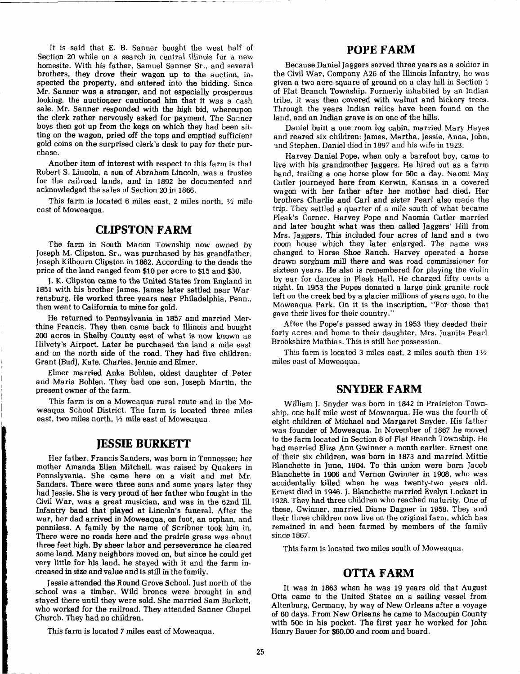It is said that E. B. Sanner bought the west half of Section 20 while on a search in central Illinois for a new homesite. With his father, Samuel Sanner Sr., and several brothers, they drove their wagon up to the auction, inspected the property, and entered into the bidding. Since Mr. Samer was a stranger, and not especially prosperous looking, the auctioqeer cautioned him that it was a cash sale. Mr. Sanner responded with the high bid, whereupon the clerk rather nervously asked for payment. The Sanner boys then got up from the kegs on which they had been sitting on the wagon, pried off the tops and emptied sufficient gold coins on the surprised clerk's desk to pay for their purchase.

Another item of interest with respect to this farm is that Robert S. Lincoln, a son of Abraham Lincoln, was a trustee for the railroad lands, and in 1892 he documented and acknowledged the sales of Section 20 in 1866.

This farm is located 6 miles east, 2 miles north,  $\frac{1}{2}$  mile east of Moweaqua.

### **CLIPSTON FARM**

The farm in South Macon Township now owned by Joseph M. Clipston, Sr., was purchased by his grandfather, Joseph Kilbourn Clipston in 1862. According to the deeds the price of the land ranged from \$10 per acre to \$15 and \$30.

**J.** K. Clipston came to the United States from England in 1851 with his brother James. James later settled near Warrensburg. He worked three years near Philadelphia, Penn., then went to California to mine for gold.

He returned to Pennsylvania in 1857 and married Merthine Francis. They then came back to Illinois and bought 200 acres in Shelby County east of what is now known as Hilvety's Airport. Later he purchased the land a mile east and on the north side of the road. They had five children: Grant (Bud), Kate, Charles, Jennie and Elmer.

Elmer married Anka Bohlen, oldest daughter of Peter and Maria Bohlen. They had one son, Joseph Martin, the present owner of the farm.

This farm is on a Moweaqua rural route and in the Moweaqua School District. The farm is located three miles east, two miles north,  $\frac{1}{2}$  mile east of Moweaqua.

#### **JESSIE BURKETT**

Her father, Francis Sanders, was born in Tennessee; her mother Amanda Ellen Mitchell, was raised by Quakers in Pennslyvania. She came here on a visit and met Mr. Sanders. There were three sons and some years later they had Jessie. She is very proud of her father who fought in the Civil War, was a great musician, and was in the 62nd Ill. Infantry band that played at Lincoln's funeral. After the war, her dad arrived in Moweaqua, on foot, an orphan, and penniless. **A** family by the name of Scribner took him in. There were no roads here and the prairie grass was about three feet high. By sheer labor and perseverance he cleared some land. Many neighbors moved on, but since he could get very little for his land, he stayed with it and the farm increased in size and value and is still in the family.

Jessie attended the Round Grove School. Just north of the school was a timber. Wild broncs were brought in and stayed there until they were sold. She married Sam Burkett, who worked for the railroad. They attended Sanner Chapel Church. They had no children.

This farm is located 7 miles east of Moweaqua.

#### **POPE FARM**

Because Daniel Jaggers served three years as a soldier in the Civil War, Company A26 of the Illinois Infantry, he was given a two acre square of ground on a clay hill in Section 1 of Flat Branch Township. Formerly inhabited by an Indian tribe, it was then covered with walnut and hickory trees. Through the years Indian relics have been found on the land, and an Indian grave is on one of the hills.

Daniel built a one room log cabin, married Mary Hayes and reared six children: James, Martha, Jessie, Anna, John, and Stephen. Daniel died in 1897 and his wife in 1923.

Harvey Daniel Pope, when only a barefoot boy, came to live with his grandmother Jaggers. He hired out as a farm hand, trailing a one horse plow for 50c a day. Naomi May Cutler journeyed here from Kerwin, Kansas in a covered wagon with her father after her mother had died. Her brothers Charlie and Carl and sister Pearl also made the trip. They settled a quarter of a mile south of what became Pleak's Corner. Harvey Pope and Naomia Cutler married and later bought what was then called Jaggers' Hill from Mrs. Jaggers. This included four acres of land and a two room house which they later enlarged. The name was changed to Horse Shoe Ranch. Harvey operated a horse drawn sorghum mill there and was road commissioner for sixteen years. He also is remembered for playing the violin by ear for dances in Pleak Hall. He charged fifty cents a night. In 1953 the Popes donated a large pink granite rock left on the creek bed by a glacier millions of years ago, to the Moweaqua Park. On it is the inscription, "For those that gave their lives for their country."

After the Pope's passed away in 1953 they deeded their forty acres and home to their daughter, Mrs. Juanita Pearl Brookshire Mathias. This is still her possession.

This farm is located 3 miles east, 2 miles south then  $1\frac{1}{2}$ miles east of Moweaqua.

#### **SNYDER FARM**

William J. Snyder was born in 1842 in Prairieton Township, one half mile west of Moweaqua. He was the fourth of eight children of Michael and Margaret Snyder. His father was founder of Moweaqua. In November of 1867 he moved to the farm located in Section 8 of Flat Branch Township. He had married Eliza Ann Gwinner a month earlier. Ernest one of their six children, was born in 1873 and married Mittie Blanchette in June, **1904.** To this union were born Jacob Blanchette in 1906 and Vernon Gwimer in 1908, who was accidentally killed when he was twenty-two years old. Ernest died in 1946. J. Blanchette married Evelyn Lockart in 1928. They had three children who reached maturity. One of these, Gwinner, married Diane Dagner in 1958. They and their three children now live on the original farm, which has remained in and been farmed by members of the family since 1867.

This farm is located two miles south of Moweaqua

# **OTTA FARM**

It was in 1863 when he was 19 years old that August Otta came to the United States on a sailing vessel from Altenburg, Germany, by way of New Orleans after a voyage of 60 days. From New Orleans he came to Macoupin County with 50c in his pocket. The first year he worked for John Henry Bauer for \$60.00 and room and board.